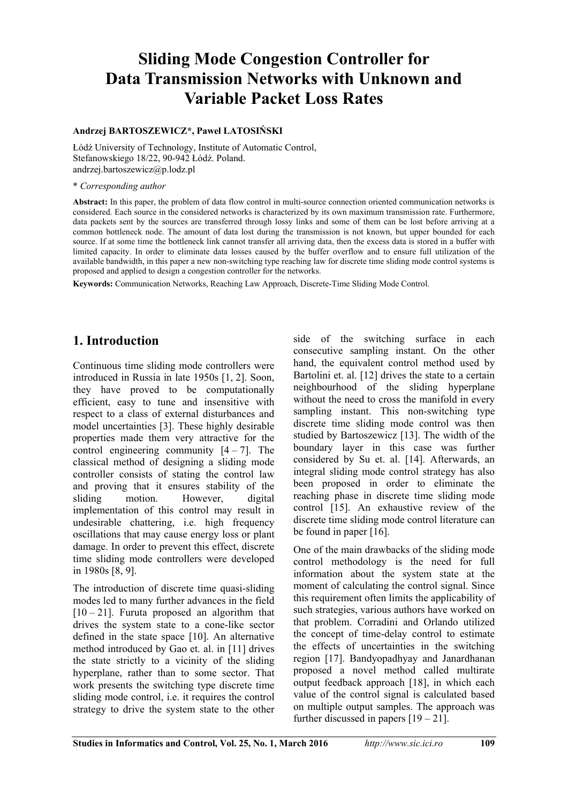# **Sliding Mode Congestion Controller for Data Transmission Networks with Unknown and Variable Packet Loss Rates**

#### **Andrzej BARTOSZEWICZ\*, Paweł LATOSIŃSKI**

Łódź University of Technology, Institute of Automatic Control, Stefanowskiego 18/22, 90-942 Łódź. Poland. andrzej.bartoszewicz@p.lodz.pl

#### \* *Corresponding author*

**Abstract:** In this paper, the problem of data flow control in multi-source connection oriented communication networks is considered. Each source in the considered networks is characterized by its own maximum transmission rate. Furthermore, data packets sent by the sources are transferred through lossy links and some of them can be lost before arriving at a common bottleneck node. The amount of data lost during the transmission is not known, but upper bounded for each source. If at some time the bottleneck link cannot transfer all arriving data, then the excess data is stored in a buffer with limited capacity. In order to eliminate data losses caused by the buffer overflow and to ensure full utilization of the available bandwidth, in this paper a new non-switching type reaching law for discrete time sliding mode control systems is proposed and applied to design a congestion controller for the networks.

**Keywords:** Communication Networks, Reaching Law Approach, Discrete-Time Sliding Mode Control.

# **1. Introduction**

Continuous time sliding mode controllers were introduced in Russia in late 1950s [1, 2]. Soon, they have proved to be computationally efficient, easy to tune and insensitive with respect to a class of external disturbances and model uncertainties [3]. These highly desirable properties made them very attractive for the control engineering community  $[4 - 7]$ . The classical method of designing a sliding mode controller consists of stating the control law and proving that it ensures stability of the sliding motion. However, digital implementation of this control may result in undesirable chattering, i.e. high frequency oscillations that may cause energy loss or plant damage. In order to prevent this effect, discrete time sliding mode controllers were developed in 1980s [8, 9].

The introduction of discrete time quasi-sliding modes led to many further advances in the field  $[10 - 21]$ . Furuta proposed an algorithm that drives the system state to a cone-like sector defined in the state space [10]. An alternative method introduced by Gao et. al. in [11] drives the state strictly to a vicinity of the sliding hyperplane, rather than to some sector. That work presents the switching type discrete time sliding mode control, i.e. it requires the control strategy to drive the system state to the other

side of the switching surface in each consecutive sampling instant. On the other hand, the equivalent control method used by Bartolini et. al. [12] drives the state to a certain neighbourhood of the sliding hyperplane without the need to cross the manifold in every sampling instant. This non-switching type discrete time sliding mode control was then studied by Bartoszewicz [13]. The width of the boundary layer in this case was further considered by Su et. al. [14]. Afterwards, an integral sliding mode control strategy has also been proposed in order to eliminate the reaching phase in discrete time sliding mode control [15]. An exhaustive review of the discrete time sliding mode control literature can be found in paper [16].

One of the main drawbacks of the sliding mode control methodology is the need for full information about the system state at the moment of calculating the control signal. Since this requirement often limits the applicability of such strategies, various authors have worked on that problem. Corradini and Orlando utilized the concept of time-delay control to estimate the effects of uncertainties in the switching region [17]. Bandyopadhyay and Janardhanan proposed a novel method called multirate output feedback approach [18], in which each value of the control signal is calculated based on multiple output samples. The approach was further discussed in papers  $[19 - 21]$ .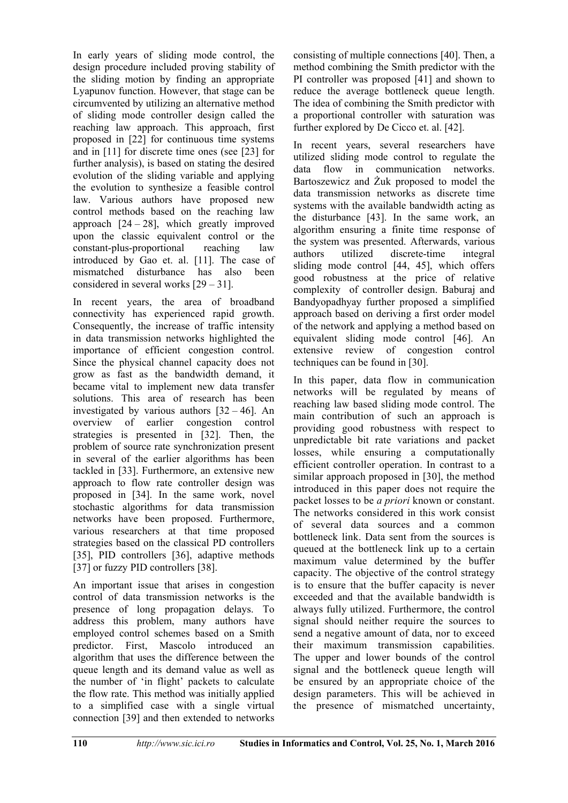In early years of sliding mode control, the design procedure included proving stability of the sliding motion by finding an appropriate Lyapunov function. However, that stage can be circumvented by utilizing an alternative method of sliding mode controller design called the reaching law approach. This approach, first proposed in [22] for continuous time systems and in [11] for discrete time ones (see [23] for further analysis), is based on stating the desired evolution of the sliding variable and applying the evolution to synthesize a feasible control law. Various authors have proposed new control methods based on the reaching law approach  $[24 - 28]$ , which greatly improved upon the classic equivalent control or the constant-plus-proportional reaching law introduced by Gao et. al. [11]. The case of mismatched disturbance has also been considered in several works [29 – 31].

In recent years, the area of broadband connectivity has experienced rapid growth. Consequently, the increase of traffic intensity in data transmission networks highlighted the importance of efficient congestion control. Since the physical channel capacity does not grow as fast as the bandwidth demand, it became vital to implement new data transfer solutions. This area of research has been investigated by various authors  $[32 - 46]$ . An overview of earlier congestion control strategies is presented in [32]. Then, the problem of source rate synchronization present in several of the earlier algorithms has been tackled in [33]. Furthermore, an extensive new approach to flow rate controller design was proposed in [34]. In the same work, novel stochastic algorithms for data transmission networks have been proposed. Furthermore, various researchers at that time proposed strategies based on the classical PD controllers [35], PID controllers [36], adaptive methods [37] or fuzzy PID controllers [38].

An important issue that arises in congestion control of data transmission networks is the presence of long propagation delays. To address this problem, many authors have employed control schemes based on a Smith predictor. First, Mascolo introduced an algorithm that uses the difference between the queue length and its demand value as well as the number of 'in flight' packets to calculate the flow rate. This method was initially applied to a simplified case with a single virtual connection [39] and then extended to networks

consisting of multiple connections [40]. Then, a method combining the Smith predictor with the PI controller was proposed [41] and shown to reduce the average bottleneck queue length. The idea of combining the Smith predictor with a proportional controller with saturation was further explored by De Cicco et. al. [42].

In recent years, several researchers have utilized sliding mode control to regulate the data flow in communication networks. Bartoszewicz and Żuk proposed to model the data transmission networks as discrete time systems with the available bandwidth acting as the disturbance [43]. In the same work, an algorithm ensuring a finite time response of the system was presented. Afterwards, various authors utilized discrete-time integral sliding mode control [44, 45], which offers good robustness at the price of relative complexity of controller design. Baburaj and Bandyopadhyay further proposed a simplified approach based on deriving a first order model of the network and applying a method based on equivalent sliding mode control [46]. An extensive review of congestion control techniques can be found in [30].

In this paper, data flow in communication networks will be regulated by means of reaching law based sliding mode control. The main contribution of such an approach is providing good robustness with respect to unpredictable bit rate variations and packet losses, while ensuring a computationally efficient controller operation. In contrast to a similar approach proposed in [30], the method introduced in this paper does not require the packet losses to be *a priori* known or constant. The networks considered in this work consist of several data sources and a common bottleneck link. Data sent from the sources is queued at the bottleneck link up to a certain maximum value determined by the buffer capacity. The objective of the control strategy is to ensure that the buffer capacity is never exceeded and that the available bandwidth is always fully utilized. Furthermore, the control signal should neither require the sources to send a negative amount of data, nor to exceed their maximum transmission capabilities. The upper and lower bounds of the control signal and the bottleneck queue length will be ensured by an appropriate choice of the design parameters. This will be achieved in the presence of mismatched uncertainty,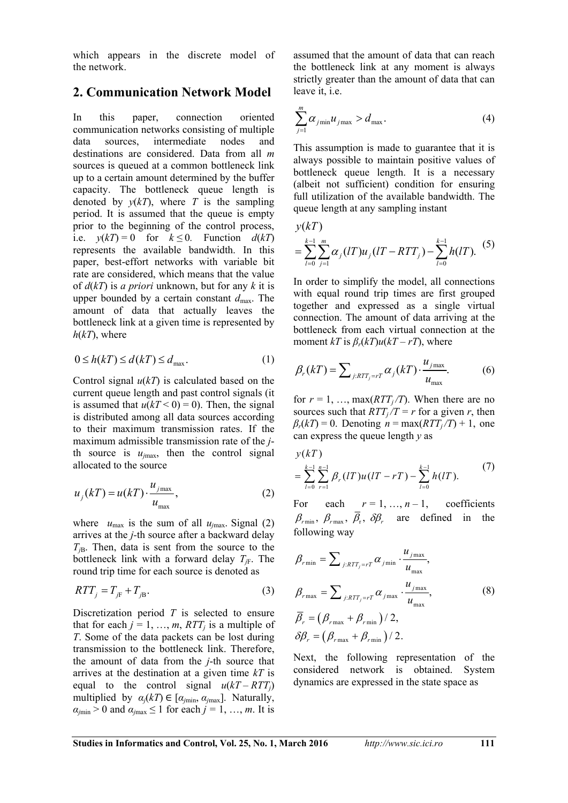which appears in the discrete model of the network.

# **2. Communication Network Model**

In this paper, connection oriented communication networks consisting of multiple data sources, intermediate nodes and destinations are considered. Data from all *m* sources is queued at a common bottleneck link up to a certain amount determined by the buffer capacity. The bottleneck queue length is denoted by  $y(kT)$ , where *T* is the sampling period. It is assumed that the queue is empty prior to the beginning of the control process, i.e.  $y(kT) = 0$  for  $k \le 0$ . Function  $d(kT)$ represents the available bandwidth. In this paper, best-effort networks with variable bit rate are considered, which means that the value of *d*(*kT*) is *a priori* unknown, but for any *k* it is upper bounded by a certain constant *d*max. The amount of data that actually leaves the bottleneck link at a given time is represented by  $h(kT)$ , where

$$
0 \le h(kT) \le d(kT) \le d_{\text{max}}.\tag{1}
$$

Control signal  $u(kT)$  is calculated based on the current queue length and past control signals (it is assumed that  $u(kT < 0) = 0$ ). Then, the signal is distributed among all data sources according to their maximum transmission rates. If the maximum admissible transmission rate of the *j*th source is  $u_{\text{max}}$ , then the control signal allocated to the source

$$
u_j(kT) = u(kT) \cdot \frac{u_{j\max}}{u_{\max}},
$$
\n(2)

where  $u_{\text{max}}$  is the sum of all  $u_{\text{max}}$ . Signal (2) arrives at the *j-*th source after a backward delay  $T_{iB}$ . Then, data is sent from the source to the bottleneck link with a forward delay  $T_{\text{fF}}$ . The round trip time for each source is denoted as

$$
RTT_j = T_{jF} + T_{jB}.
$$
 (3)

Discretization period *T* is selected to ensure that for each  $j = 1, ..., m$ ,  $RTT_j$  is a multiple of *T*. Some of the data packets can be lost during transmission to the bottleneck link. Therefore, the amount of data from the *j*-th source that arrives at the destination at a given time *kT* is equal to the control signal  $u(kT - RTT_i)$ multiplied by  $\alpha_j(k) \in [\alpha_{\text{min}}, \alpha_{\text{max}}]$ . Naturally,  $a_{\text{jmin}} > 0$  and  $a_{\text{jmax}} \leq 1$  for each  $j = 1, ..., m$ . It is

assumed that the amount of data that can reach the bottleneck link at any moment is always strictly greater than the amount of data that can leave it, i.e.

$$
\sum_{j=1}^{m} \alpha_{j\min} u_{j\max} > d_{\max}.
$$
 (4)

This assumption is made to guarantee that it is always possible to maintain positive values of bottleneck queue length. It is a necessary (albeit not sufficient) condition for ensuring full utilization of the available bandwidth. The queue length at any sampling instant

$$
y(kT)
$$
  
=  $\sum_{l=0}^{k-1} \sum_{j=1}^{m} \alpha_j (lT) u_j (lT - RTT_j) - \sum_{l=0}^{k-1} h(lT).$  (5)

In order to simplify the model, all connections with equal round trip times are first grouped together and expressed as a single virtual connection. The amount of data arriving at the bottleneck from each virtual connection at the moment  $kT$  is  $\beta_r(kT)u(kT - rT)$ , where

$$
\beta_r(kT) = \sum_{j:RTT_j = rT} \alpha_j(kT) \cdot \frac{u_{j\max}}{u_{\max}}.
$$
 (6)

for  $r = 1, \ldots, \max(RTT_i/T)$ . When there are no sources such that  $RTT_i/T = r$  for a given *r*, then  $\beta_r(kT) = 0$ . Denoting  $n = \max(RTT_f/T) + 1$ , one can express the queue length *y* as

$$
y(kT) = \sum_{l=0}^{k-1} \sum_{r=1}^{n-1} \beta_r (lT) u(lT - rT) - \sum_{l=0}^{k-1} h(lT).
$$
 (7)

For each  $r = 1, ..., n-1$ , coefficients  $\beta_{\text{rmin}}$ ,  $\beta_{\text{rmax}}$ ,  $\overline{\beta}_{\text{r}}$ ,  $\delta\beta_{\text{r}}$  are defined in the following way

$$
\beta_{r\min} = \sum_{j:RTT_j=rT} \alpha_{j\min} \cdot \frac{u_{j\max}}{u_{\max}},
$$
\n
$$
\beta_{r\max} = \sum_{j:RTT_j=rT} \alpha_{j\max} \cdot \frac{u_{j\max}}{u_{\max}},
$$
\n
$$
\overline{\beta}_r = (\beta_{r\max} + \beta_{r\min})/2,
$$
\n
$$
\delta\beta_r = (\beta_{r\max} + \beta_{r\min})/2.
$$
\n(8)

Next, the following representation of the considered network is obtained. System dynamics are expressed in the state space as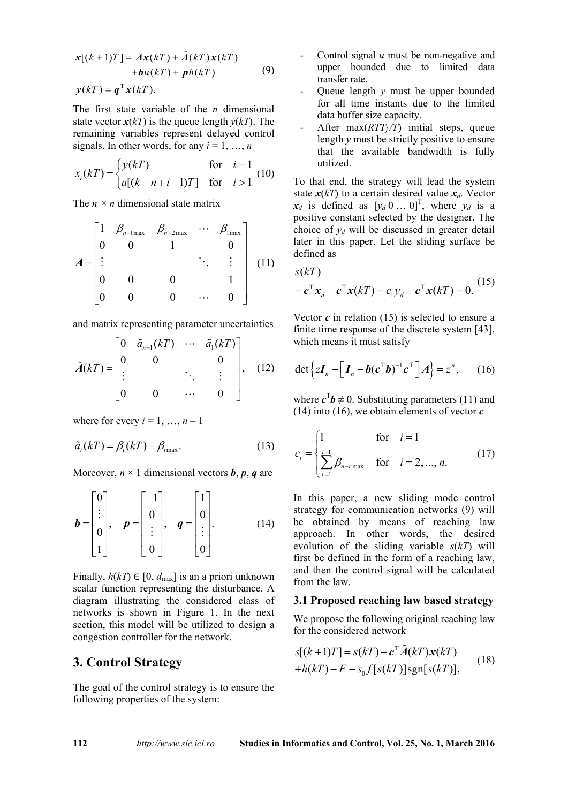$$
\mathbf{x}[(k+1)T] = A\mathbf{x}(kT) + \tilde{A}(kT)\mathbf{x}(kT)
$$
  
+
$$
b u(kT) + p h(kT)
$$
 (9)  

$$
y(kT) = q^{T}\mathbf{x}(kT).
$$

The first state variable of the *n* dimensional state vector  $x(kT)$  is the queue length  $y(kT)$ . The remaining variables represent delayed control signals. In other words, for any  $i = 1, ..., n$ 

$$
x_i(kT) = \begin{cases} y(kT) & \text{for } i = 1\\ u[(k-n+i-1)T] & \text{for } i > 1 \end{cases}
$$
 (10)

The  $n \times n$  dimensional state matrix

$$
A = \begin{bmatrix} 1 & \beta_{n-1\max} & \beta_{n-2\max} & \cdots & \beta_{1\max} \\ 0 & 0 & 1 & 0 \\ \vdots & & & \ddots & \vdots \\ 0 & 0 & 0 & & 1 \\ 0 & 0 & 0 & \cdots & 0 \end{bmatrix}
$$
 (11)

and matrix representing parameter uncertainties

$$
\tilde{A}(kT) = \begin{bmatrix} 0 & \tilde{a}_{n-1}(kT) & \cdots & \tilde{a}_1(kT) \\ 0 & 0 & & 0 \\ \vdots & & \ddots & \vdots \\ 0 & 0 & \cdots & 0 \end{bmatrix}, (12)
$$

where for every  $i = 1, ..., n - 1$ 

$$
\tilde{a}_i(kT) = \beta_i(kT) - \beta_{i\text{max}}.\tag{13}
$$

Moreover,  $n \times 1$  dimensional vectors *b*, *p*, *q* are

$$
\boldsymbol{b} = \begin{bmatrix} 0 \\ \vdots \\ 0 \\ 1 \end{bmatrix}, \quad \boldsymbol{p} = \begin{bmatrix} -1 \\ 0 \\ \vdots \\ 0 \end{bmatrix}, \quad \boldsymbol{q} = \begin{bmatrix} 1 \\ 0 \\ \vdots \\ 0 \end{bmatrix}.
$$
 (14)

Finally,  $h(kT) \in [0, d_{\text{max}}]$  is an a priori unknown scalar function representing the disturbance. A diagram illustrating the considered class of networks is shown in Figure 1. In the next section, this model will be utilized to design a congestion controller for the network.

## **3. Control Strategy**

The goal of the control strategy is to ensure the following properties of the system:

- Control signal *u* must be non-negative and upper bounded due to limited data transfer rate.
- Queue length *y* must be upper bounded for all time instants due to the limited data buffer size capacity.
- After  $max(RTT<sub>i</sub>/T)$  initial steps, queue length *y* must be strictly positive to ensure that the available bandwidth is fully utilized.

To that end, the strategy will lead the system state  $x(kT)$  to a certain desired value  $x_d$ . Vector  $x_d$  is defined as  $[y_d \, 0 \dots 0]^T$ , where  $y_d$  is a positive constant selected by the designer. The choice of  $y_d$  will be discussed in greater detail later in this paper. Let the sliding surface be defined as

$$
s(kT)
$$
  
=  $\mathbf{c}^{\mathrm{T}} \mathbf{x}_d - \mathbf{c}^{\mathrm{T}} \mathbf{x}(kT) = c_1 y_d - \mathbf{c}^{\mathrm{T}} \mathbf{x}(kT) = 0.$  (15)

Vector  $c$  in relation  $(15)$  is selected to ensure a finite time response of the discrete system [43], which means it must satisfy

$$
\det \left\{ z \boldsymbol{I}_n - \left[ \boldsymbol{I}_n - \boldsymbol{b} (\boldsymbol{c}^{\mathrm{T}} \boldsymbol{b})^{-1} \boldsymbol{c}^{\mathrm{T}} \right] A \right\} = z^n, \qquad (16)
$$

where  $c^T b \neq 0$ . Substituting parameters (11) and (14) into (16), we obtain elements of vector *c*

$$
c_{i} = \begin{cases} 1 & \text{for } i = 1 \\ \sum_{r=1}^{i-1} \beta_{n-r\max} & \text{for } i = 2, ..., n. \end{cases}
$$
 (17)

In this paper, a new sliding mode control strategy for communication networks (9) will be obtained by means of reaching law approach. In other words, the desired evolution of the sliding variable *s*(*kT*) will first be defined in the form of a reaching law, and then the control signal will be calculated from the law.

#### **3.1 Proposed reaching law based strategy**

We propose the following original reaching law for the considered network

$$
s[(k+1)T] = s(kT) - \mathbf{c}^{\mathrm{T}}\tilde{A}(kT)\mathbf{x}(kT)
$$
  
+h(kT) - F - s<sub>0</sub>f[s(kT)]sgn[s(kT)], (18)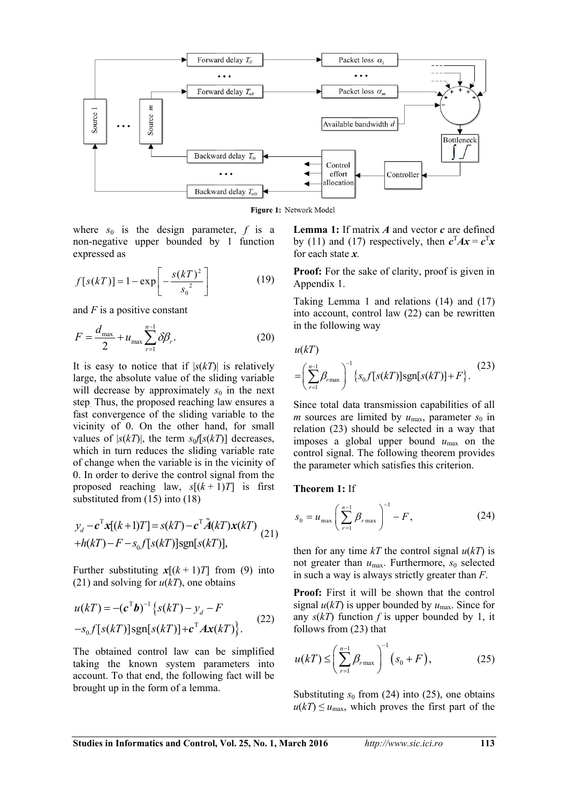

Figure 1: Network Model

where  $s_0$  is the design parameter, f is a non-negative upper bounded by 1 function expressed as

$$
f[s(kT)] = 1 - \exp\left[-\frac{s(kT)^{2}}{s_{0}^{2}}\right]
$$
 (19)

and *F* is a positive constant

$$
F = \frac{d_{\text{max}}}{2} + u_{\text{max}} \sum_{r=1}^{n-1} \delta \beta_r.
$$
 (20)

It is easy to notice that if  $|s(kT)|$  is relatively large, the absolute value of the sliding variable will decrease by approximately  $s_0$  in the next step. Thus, the proposed reaching law ensures a fast convergence of the sliding variable to the vicinity of 0. On the other hand, for small values of  $|s(kT)|$ , the term  $s_0f[s(kT)]$  decreases, which in turn reduces the sliding variable rate of change when the variable is in the vicinity of 0. In order to derive the control signal from the proposed reaching law,  $s[(k+1)T]$  is first substituted from (15) into (18)

$$
y_d - c^{\mathrm{T}} \mathbf{x}[(k+1)T] = s(kT) - c^{\mathrm{T}} \tilde{A}(kT) \mathbf{x}(kT)
$$
  
+h(kT) - F - s<sub>0</sub>f[s(kT)]sgn[s(kT)], (21)

Further substituting  $x[(k+1)T]$  from (9) into (21) and solving for  $u(kT)$ , one obtains

$$
u(kT) = -(c^{\mathrm{T}}b)^{-1} \{ s(kT) - y_d - F
$$
  
-s<sub>0</sub>f[s(kT)]sgn[s(kT)]+c<sup>T</sup> Ax(kT) \}. (22)

The obtained control law can be simplified taking the known system parameters into account. To that end, the following fact will be brought up in the form of a lemma.

**Lemma 1:** If matrix *A* and vector *c* are defined by (11) and (17) respectively, then  $c^{T}Ax = c^{T}x$ for each state *x.* 

**Proof:** For the sake of clarity, proof is given in Appendix 1.

Taking Lemma 1 and relations (14) and (17) into account, control law (22) can be rewritten in the following way

 $u(kT)$ 

$$
= \left(\sum_{r=1}^{n-1} \beta_{r \max}\right)^{-1} \left\{s_0 f[s(kT)] \text{sgn}[s(kT)] + F\right\}.
$$
 (23)

Since total data transmission capabilities of all *m* sources are limited by  $u_{\text{max}}$ , parameter  $s_0$  in relation (23) should be selected in a way that imposes a global upper bound  $u_{\text{max}}$  on the control signal. The following theorem provides the parameter which satisfies this criterion.

**Theorem 1:** If

$$
s_0 = u_{\text{max}} \left( \sum_{r=1}^{n-1} \beta_{r \text{max}} \right)^{-1} - F, \qquad (24)
$$

then for any time  $kT$  the control signal  $u(kT)$  is not greater than  $u_{\text{max}}$ . Furthermore,  $s_0$  selected in such a way is always strictly greater than *F*.

**Proof:** First it will be shown that the control signal  $u(kT)$  is upper bounded by  $u_{\text{max}}$ . Since for any  $s(kT)$  function f is upper bounded by 1, it follows from (23) that

$$
u(kT) \le \left(\sum_{r=1}^{n-1} \beta_{r \max}\right)^{-1} (s_0 + F), \tag{25}
$$

Substituting  $s_0$  from (24) into (25), one obtains  $u(k) \le u_{\text{max}}$ , which proves the first part of the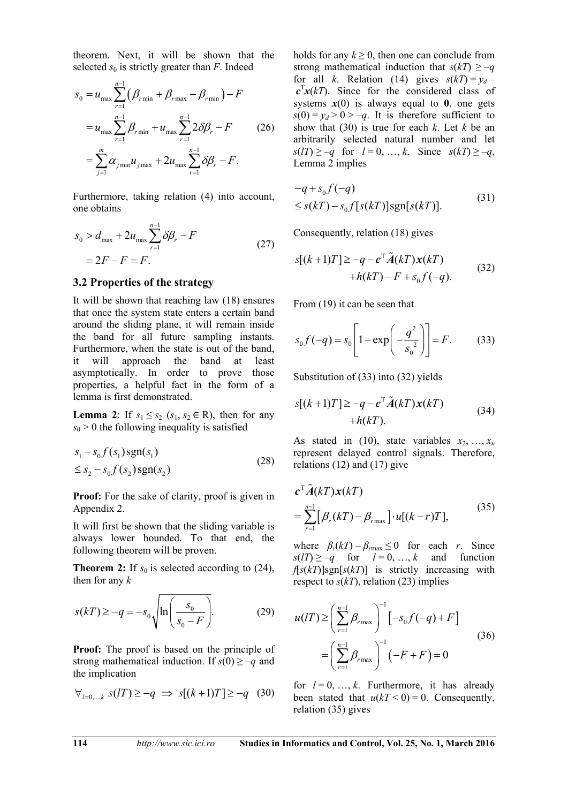theorem. Next, it will be shown that the selected  $s_0$  is strictly greater than  $F$ . Indeed

$$
s_0 = u_{\max} \sum_{r=1}^{n-1} (\beta_{r\min} + \beta_{r\max} - \beta_{r\min}) - F
$$
  
=  $u_{\max} \sum_{r=1}^{n-1} \beta_{r\min} + u_{\max} \sum_{r=1}^{n-1} 2\delta\beta_r - F$  (26)  
=  $\sum_{j=1}^{m} \alpha_{j\min} u_{j\max} + 2u_{\max} \sum_{r=1}^{n-1} \delta\beta_r - F.$ 

Furthermore, taking relation (4) into account, one obtains

$$
S_0 > d_{\max} + 2u_{\max} \sum_{r=1}^{n-1} \delta \beta_r - F
$$
  
= 2F - F = F. (27)

#### **3.2 Properties of the strategy**

It will be shown that reaching law (18) ensures that once the system state enters a certain band around the sliding plane, it will remain inside the band for all future sampling instants. Furthermore, when the state is out of the band, it will approach the band at least asymptotically. In order to prove those properties, a helpful fact in the form of a lemma is first demonstrated.

**Lemma** 2: If  $s_1 \leq s_2$  ( $s_1, s_2 \in \mathbb{R}$ ), then for any  $s_0$  > 0 the following inequality is satisfied

$$
s_1 - s_0 f(s_1) \text{sgn}(s_1)
$$
  
\n
$$
\leq s_2 - s_0 f(s_2) \text{sgn}(s_2)
$$
\n(28)

**Proof:** For the sake of clarity, proof is given in Appendix 2.

It will first be shown that the sliding variable is always lower bounded. To that end, the following theorem will be proven.

**Theorem 2:** If  $s_0$  is selected according to (24), then for any *k* 

$$
s(kT) \ge -q = -s_0 \sqrt{\ln\left(\frac{s_0}{s_0 - F}\right)}.\tag{29}
$$

**Proof:** The proof is based on the principle of strong mathematical induction. If  $s(0) \ge -q$  and the implication

$$
\forall_{l=0,\dots,k} \ s(l) \ge -q \Rightarrow s[(k+1)T] \ge -q \quad (30)
$$

holds for any  $k \geq 0$ , then one can conclude from strong mathematical induction that  $s(kT) \ge -q$ for all *k*. Relation (14) gives  $s(kT) = v_d$  $c^{\text{T}}x(kT)$ . Since for the considered class of systems  $x(0)$  is always equal to  $\theta$ , one gets  $s(0) = y_d > 0 > -q$ . It is therefore sufficient to show that (30) is true for each *k*. Let *k* be an arbitrarily selected natural number and let  $s(l) \ge -q$  for  $l = 0, ..., k$ . Since  $s(k) \ge -q$ , Lemma 2 implies

$$
-q + s_0 f(-q)
$$
  
\n
$$
\leq s(kT) - s_0 f[s(kT)] \text{sgn}[s(kT)].
$$
\n(31)

Consequently, relation (18) gives

$$
s[(k+1)T] \ge -q -c^{\mathrm{T}}\tilde{A}(kT)\mathbf{x}(kT) + h(kT) - F + s_0 f(-q).
$$
 (32)

From (19) it can be seen that

$$
s_0 f(-q) = s_0 \left[ 1 - \exp\left( -\frac{q^2}{s_0^2} \right) \right] = F. \tag{33}
$$

Substitution of (33) into (32) yields

$$
s[(k+1)T] \ge -q -c^{\mathrm{T}}\tilde{A}(kT)\mathbf{x}(kT) + h(kT).
$$
 (34)

As stated in (10), state variables  $x_2, \ldots, x_n$ represent delayed control signals. Therefore, relations (12) and (17) give

$$
\mathbf{c}^{\mathrm{T}}\tilde{A}(kT)\mathbf{x}(kT)
$$
  
=
$$
\sum_{r=1}^{n-1} [\beta_r(kT) - \beta_{r\max}] \cdot u[(k-r)T],
$$
 (35)

where  $\beta_r(kT) - \beta_{rmax} \leq 0$  for each *r*. Since  $s(l) \ge -q$  for  $l = 0, ..., k$  and function  $f[s(kT)]$ sgn $[s(kT)]$  is strictly increasing with respect to  $s(k)$ , relation (23) implies

$$
u(IT) \ge \left(\sum_{r=1}^{n-1} \beta_{r \max}\right)^{-1} [-s_0 f(-q) + F]
$$
  
=  $\left(\sum_{r=1}^{n-1} \beta_{r \max}\right)^{-1} (-F + F) = 0$  (36)

for  $l = 0, ..., k$ . Furthermore, it has already been stated that  $u(kT < 0) = 0$ . Consequently, relation (35) gives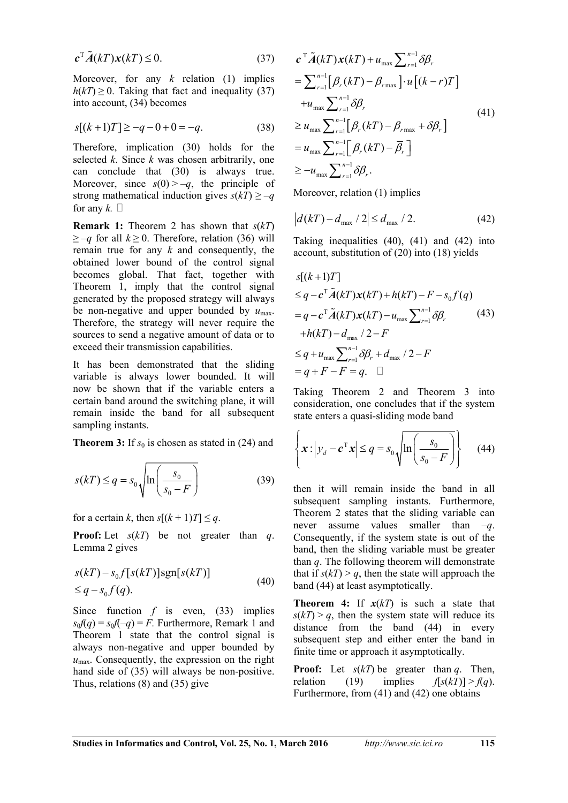$$
c^{\mathrm{T}}\tilde{A}(kT)x(kT) \le 0. \tag{37}
$$

Moreover, for any *k* relation (1) implies  $h(kT) \geq 0$ . Taking that fact and inequality (37) into account, (34) becomes

$$
s[(k+1)T] \ge -q - 0 + 0 = -q. \tag{38}
$$

Therefore, implication (30) holds for the selected *k*. Since *k* was chosen arbitrarily, one can conclude that (30) is always true. Moreover, since  $s(0) > -q$ , the principle of strong mathematical induction gives  $s(kT) \ge -q$ for any  $k$ .  $\Box$ 

**Remark 1:** Theorem 2 has shown that *s*(*kT*)  $\geq -q$  for all  $k \geq 0$ . Therefore, relation (36) will remain true for any *k* and consequently, the obtained lower bound of the control signal becomes global. That fact, together with Theorem 1, imply that the control signal generated by the proposed strategy will always be non-negative and upper bounded by  $u_{\text{max}}$ . Therefore, the strategy will never require the sources to send a negative amount of data or to exceed their transmission capabilities.

It has been demonstrated that the sliding variable is always lower bounded. It will now be shown that if the variable enters a certain band around the switching plane, it will remain inside the band for all subsequent sampling instants.

**Theorem 3:** If  $s_0$  is chosen as stated in (24) and

$$
s(kT) \le q = s_0 \sqrt{\ln\left(\frac{s_0}{s_0 - F}\right)}\tag{39}
$$

for a certain *k*, then  $s[(k+1)T] \leq q$ .

**Proof:** Let *s*(*kT*) be not greater than *q*. Lemma 2 gives

$$
s(kT) - s_0 f[s(kT)] \text{sgn}[s(kT)]
$$
  
\n
$$
\leq q - s_0 f(q).
$$
 (40)

Since function *f* is even, (33) implies  $s_0f(q) = s_0f(-q) = F$ . Furthermore, Remark 1 and Theorem 1 state that the control signal is always non-negative and upper bounded by  $u_{\text{max}}$ . Consequently, the expression on the right hand side of (35) will always be non-positive. Thus, relations (8) and (35) give

$$
\begin{split}\n& \mathbf{c}^{\mathrm{T}}\tilde{A}(k) \mathbf{x}(k) + u_{\max} \sum_{r=1}^{n-1} \delta \beta_r \\
& = \sum_{r=1}^{n-1} \left[ \beta_r(k) - \beta_{r\max} \right] \cdot u \left[ (k-r) \right] \\
& + u_{\max} \sum_{r=1}^{n-1} \delta \beta_r \\
& \geq u_{\max} \sum_{r=1}^{n-1} \left[ \beta_r(k) - \beta_{r\max} + \delta \beta_r \right] \\
& = u_{\max} \sum_{r=1}^{n-1} \left[ \beta_r(k) - \overline{\beta}_r \right] \\
& \geq -u_{\max} \sum_{r=1}^{n-1} \delta \beta_r.\n\end{split} \tag{41}
$$

Moreover, relation (1) implies

$$
|d(kT) - d_{\text{max}} / 2| \le d_{\text{max}} / 2.
$$
 (42)

Taking inequalities (40), (41) and (42) into account, substitution of (20) into (18) yields

$$
s[(k+1)T]
$$
  
\n
$$
\leq q - c^T \tilde{A}(kT)\mathbf{x}(kT) + h(kT) - F - s_0 f(q)
$$
  
\n
$$
= q - c^T \tilde{A}(kT)\mathbf{x}(kT) - u_{\text{max}} \sum_{r=1}^{n-1} \delta \beta_r
$$
  
\n
$$
+ h(kT) - d_{\text{max}} / 2 - F
$$
  
\n
$$
\leq q + u_{\text{max}} \sum_{r=1}^{n-1} \delta \beta_r + d_{\text{max}} / 2 - F
$$
  
\n
$$
= q + F - F = q. \quad \Box
$$

Taking Theorem 2 and Theorem 3 into consideration, one concludes that if the system state enters a quasi-sliding mode band

$$
\left\{ \boldsymbol{x} : \left| y_d - \boldsymbol{c}^{\mathrm{T}} \boldsymbol{x} \right| \leq q = s_0 \sqrt{\ln \left( \frac{s_0}{s_0 - F} \right)} \right\} \tag{44}
$$

then it will remain inside the band in all subsequent sampling instants. Furthermore, Theorem 2 states that the sliding variable can never assume values smaller than –*q*. Consequently, if the system state is out of the band, then the sliding variable must be greater than *q*. The following theorem will demonstrate that if  $s(kT) > q$ , then the state will approach the band (44) at least asymptotically.

**Theorem 4:** If  $x(kT)$  is such a state that  $s(kT) > q$ , then the system state will reduce its distance from the band (44) in every subsequent step and either enter the band in finite time or approach it asymptotically.

**Proof:** Let *s*(*kT*) be greater than *q*. Then, relation (19) implies  $f[s(kT)] > f(q)$ . Furthermore, from (41) and (42) one obtains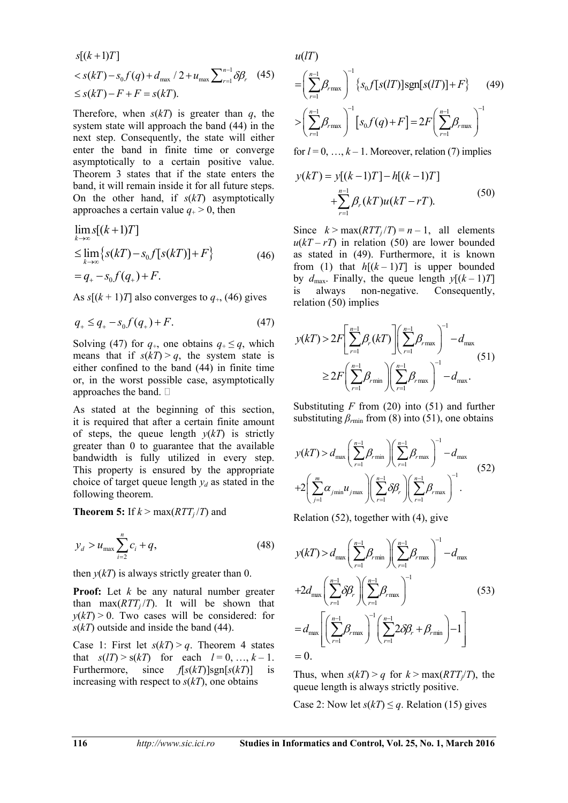$$
s[(k+1)T] < s(kT) - s_0 f(q) + d_{\max}/2 + u_{\max} \sum_{r=1}^{n-1} \delta \beta_r
$$
 (45)  

$$
\leq s(kT) - F + F = s(kT).
$$

Therefore, when  $s(kT)$  is greater than  $q$ , the system state will approach the band (44) in the next step. Consequently, the state will either enter the band in finite time or converge asymptotically to a certain positive value. Theorem 3 states that if the state enters the band, it will remain inside it for all future steps. On the other hand, if *s*(*kT*) asymptotically approaches a certain value  $q_{+} > 0$ , then

$$
\lim_{k \to \infty} s[(k+1)T] \n\leq \lim_{k \to \infty} \{ s(kT) - s_0 f[s(kT)] + F \} \n= q_+ - s_0 f(q_+) + F.
$$
\n(46)

As  $s[(k+1)T]$  also converges to  $q_{+}$ , (46) gives

$$
q_{+} \leq q_{+} - s_{0} f(q_{+}) + F. \tag{47}
$$

Solving (47) for  $q_+$ , one obtains  $q_+ \leq q$ , which means that if  $s(kT) > q$ , the system state is either confined to the band (44) in finite time or, in the worst possible case, asymptotically approaches the band.

As stated at the beginning of this section, it is required that after a certain finite amount of steps, the queue length  $y(kT)$  is strictly greater than 0 to guarantee that the available bandwidth is fully utilized in every step. This property is ensured by the appropriate choice of target queue length  $y_d$  as stated in the following theorem.

**Theorem 5:** If  $k > max(RTT_i/T)$  and

$$
y_d > u_{\max} \sum_{i=2}^{n} c_i + q,
$$
\n(48)

then  $y(kT)$  is always strictly greater than 0.

**Proof:** Let *k* be any natural number greater than  $max(RTT_i/T)$ . It will be shown that  $y(k) > 0$ . Two cases will be considered: for *s*(*kT*) outside and inside the band (44).

Case 1: First let  $s(kT) > q$ . Theorem 4 states that  $s(l) > s(k)$  for each  $l = 0, ..., k - 1$ . Furthermore, since  $f[s(kT)]sgn[s(kT)]$  is increasing with respect to  $s(kT)$ , one obtains

 $u(IT)$ 

$$
= \left(\sum_{r=1}^{n-1} \beta_{r \max}\right)^{-1} \left\{s_0 f[s(lT)]sgn[s(lT)] + F\right\} \qquad (49)
$$

$$
> \left(\sum_{r=1}^{n-1} \beta_{r \max}\right)^{-1} \left[s_0 f(q) + F\right] = 2F \left(\sum_{r=1}^{n-1} \beta_{r \max}\right)^{-1}
$$

for  $l = 0, ..., k - 1$ . Moreover, relation (7) implies

$$
y(kT) = y[(k-1)T] - h[(k-1)T]
$$
  
 
$$
+ \sum_{r=1}^{n-1} \beta_r(kT)u(kT - rT).
$$
 (50)

Since  $k > \max(RTT_i/T) = n - 1$ , all elements  $u(kT - rT)$  in relation (50) are lower bounded as stated in (49). Furthermore, it is known from (1) that  $h[(k-1)T]$  is upper bounded by  $d_{\text{max}}$ . Finally, the queue length  $y[(k-1)T]$ is always non-negative. Consequently, relation (50) implies

$$
y(kT) > 2F\left[\sum_{r=1}^{n-1} \beta_r(kT)\right] \left(\sum_{r=1}^{n-1} \beta_{r\max}\right)^{-1} - d_{\max}
$$
  
 
$$
\geq 2F\left(\sum_{r=1}^{n-1} \beta_{r\min}\right) \left(\sum_{r=1}^{n-1} \beta_{r\max}\right)^{-1} - d_{\max}.
$$
 (51)

Substituting *F* from (20) into (51) and further substituting  $\beta_{\text{rmin}}$  from (8) into (51), one obtains

$$
y(kT) > d_{\max} \left( \sum_{r=1}^{n-1} \beta_{r \min} \right) \left( \sum_{r=1}^{n-1} \beta_{r \max} \right)^{-1} - d_{\max}
$$
  
+2 \left( \sum\_{j=1}^{m} \alpha\_{j \min} u\_{j \max} \right) \left( \sum\_{r=1}^{n-1} \delta \beta\_{r} \right) \left( \sum\_{r=1}^{n-1} \beta\_{r \max} \right)^{-1} . (52)

Relation (52), together with (4), give

$$
y(kT) > d_{\max} \left( \sum_{r=1}^{n-1} \beta_{r \min} \right) \left( \sum_{r=1}^{n-1} \beta_{r \max} \right)^{-1} - d_{\max}
$$
  
+2d\_{\max} \left( \sum\_{r=1}^{n-1} \delta \beta\_r \right) \left( \sum\_{r=1}^{n-1} \beta\_{r \max} \right)^{-1} (53)  
= d\_{\max} \left[ \left( \sum\_{r=1}^{n-1} \beta\_{r \max} \right)^{-1} \left( \sum\_{r=1}^{n-1} 2 \delta \beta\_r + \beta\_{r \min} \right) - 1 \right]  
= 0.

Thus, when  $s(kT) > a$  for  $k > \max(RTT/T)$ , the queue length is always strictly positive.

Case 2: Now let  $s(kT) \leq q$ . Relation (15) gives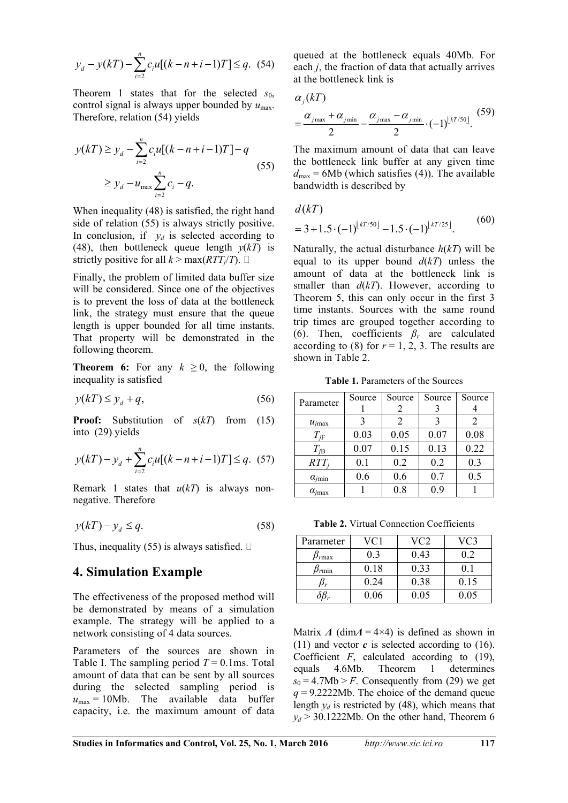$$
y_d - y(kT) - \sum_{i=2}^{n} c_i u[(k - n + i - 1)T] \le q.
$$
 (54)

Theorem 1 states that for the selected *s*<sub>0</sub>, control signal is always upper bounded by  $u_{\text{max}}$ . Therefore, relation (54) yields

$$
y(kT) \ge y_d - \sum_{i=2}^n c_i u[(k - n + i - 1)T] - q
$$
  
 
$$
\ge y_d - u_{\text{max}} \sum_{i=2}^n c_i - q.
$$
 (55)

When inequality (48) is satisfied, the right hand side of relation (55) is always strictly positive. In conclusion, if  $y_d$  is selected according to (48), then bottleneck queue length  $y(kT)$  is strictly positive for all  $k > \max(RTT_i/T)$ .

Finally, the problem of limited data buffer size will be considered. Since one of the objectives is to prevent the loss of data at the bottleneck link, the strategy must ensure that the queue length is upper bounded for all time instants. That property will be demonstrated in the following theorem.

**Theorem 6:** For any  $k \geq 0$ , the following inequality is satisfied

$$
y(kT) \le y_d + q,\tag{56}
$$

**Proof:** Substitution of *s*(*kT*) from (15) into (29) yields

$$
y(kT) - y_d + \sum_{i=2}^{n} c_i u[(k - n + i - 1)T] \le q. \tag{57}
$$

Remark 1 states that  $u(kT)$  is always nonnegative. Therefore

$$
y(kT) - y_d \le q. \tag{58}
$$

Thus, inequality (55) is always satisfied.  $\Box$ 

### **4. Simulation Example**

The effectiveness of the proposed method will be demonstrated by means of a simulation example. The strategy will be applied to a network consisting of 4 data sources.

Parameters of the sources are shown in Table I. The sampling period  $T = 0.1$ ms. Total amount of data that can be sent by all sources during the selected sampling period is  $u_{\text{max}} = 10Mb$ . The available data buffer capacity, i.e. the maximum amount of data

queued at the bottleneck equals 40Mb. For each *j*, the fraction of data that actually arrives at the bottleneck link is

$$
\alpha_j(kT)
$$
  
=  $\frac{\alpha_{j\max} + \alpha_{j\min}}{2} - \frac{\alpha_{j\max} - \alpha_{j\min}}{2} \cdot (-1)^{\lfloor kT/50 \rfloor}.$  (59)

The maximum amount of data that can leave the bottleneck link buffer at any given time  $d_{\text{max}}$  = 6Mb (which satisfies (4)). The available bandwidth is described by

$$
d(kT)
$$
  
= 3 + 1.5 \cdot (-1)<sup>[kT/50]</sup> - 1.5 \cdot (-1)<sup>[kT/25]</sup>. (60)

Naturally, the actual disturbance *h*(*kT*) will be equal to its upper bound  $d(kT)$  unless the amount of data at the bottleneck link is smaller than  $d(kT)$ . However, according to Theorem 5, this can only occur in the first 3 time instants. Sources with the same round trip times are grouped together according to (6). Then, coefficients  $\beta_r$  are calculated according to (8) for  $r = 1, 2, 3$ . The results are shown in Table 2.

**Table 1.** Parameters of the Sources

| Parameter              | Source | Source        | Source | Source |
|------------------------|--------|---------------|--------|--------|
|                        |        |               |        |        |
| $u_{jmax}$             |        | $\mathcal{L}$ |        |        |
| $T_{i\rm F}$           | 0.03   | 0.05          | 0.07   | 0.08   |
| $T_{i{\rm B}}$         | 0.07   | 0.15          | 0.13   | 0.22   |
| $RTT_i$                | 0.1    | 0.2           | 0.2    | 0.3    |
| $\alpha_{jmin}$        | 0.6    | 0.6           | 0.7    | 0.5    |
| $\alpha_{i\text{max}}$ |        | 0.8           | 0.9    |        |

**Table 2.** Virtual Connection Coefficients

| Parameter      | VC1  | VC2  | VC3  |
|----------------|------|------|------|
| $v_{\rm max}$  | 03   | 0.43 | 02   |
| $\beta_{rmin}$ | 0.18 | 0.33 | 0.   |
|                | 0.24 | 0.38 | 0.15 |
|                | 0.06 | 0.05 | 0.05 |

Matrix *A* (dim $A = 4 \times 4$ ) is defined as shown in (11) and vector  $\boldsymbol{c}$  is selected according to (16). Coefficient  $F$ , calculated according to  $(19)$ , equals 4.6Mb. Theorem 1 determines  $s_0 = 4.7Mb > F$ . Consequently from (29) we get *q* = 9.2222Mb. The choice of the demand queue length  $y_d$  is restricted by (48), which means that  $y_d$  > 30.1222Mb. On the other hand, Theorem 6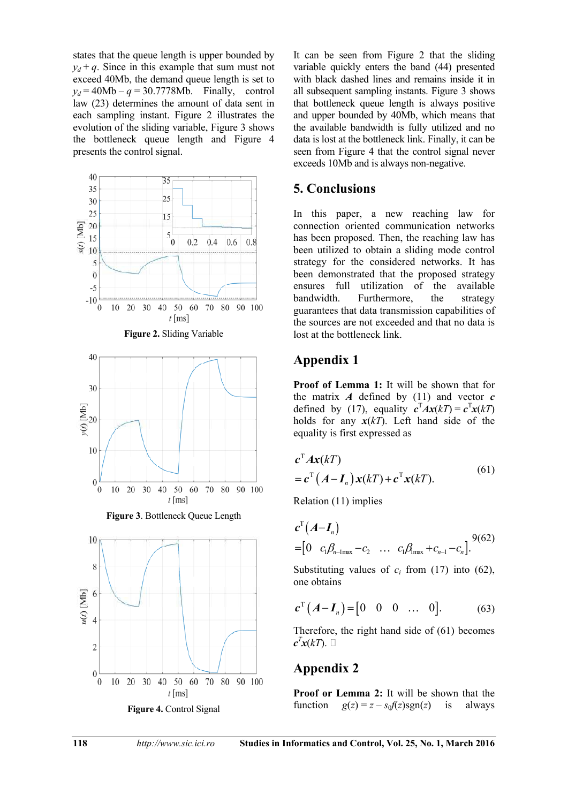states that the queue length is upper bounded by  $y_d + q$ . Since in this example that sum must not exceed 40Mb, the demand queue length is set to  $y_d = 40Mb - q = 30.7778Mb.$  Finally, control law (23) determines the amount of data sent in each sampling instant. Figure 2 illustrates the evolution of the sliding variable, Figure 3 shows the bottleneck queue length and Figure 4 presents the control signal.



It can be seen from Figure 2 that the sliding variable quickly enters the band (44) presented with black dashed lines and remains inside it in all subsequent sampling instants. Figure 3 shows that bottleneck queue length is always positive and upper bounded by 40Mb, which means that the available bandwidth is fully utilized and no data is lost at the bottleneck link. Finally, it can be seen from Figure 4 that the control signal never exceeds 10Mb and is always non-negative.

# **5. Conclusions**

In this paper, a new reaching law for connection oriented communication networks has been proposed. Then, the reaching law has been utilized to obtain a sliding mode control strategy for the considered networks. It has been demonstrated that the proposed strategy ensures full utilization of the available bandwidth. Furthermore, the strategy guarantees that data transmission capabilities of the sources are not exceeded and that no data is lost at the bottleneck link.

# **Appendix 1**

**Proof of Lemma 1:** It will be shown that for the matrix  $\vec{A}$  defined by (11) and vector  $\vec{c}$ defined by (17), equality  $c^{T} A x(kT) = c^{T} x(kT)$ holds for any  $x(kT)$ . Left hand side of the equality is first expressed as

$$
\mathbf{c}^{\mathrm{T}} \mathbf{A} \mathbf{x}(kT) \n= \mathbf{c}^{\mathrm{T}} \left( \mathbf{A} - \mathbf{I}_n \right) \mathbf{x}(kT) + \mathbf{c}^{\mathrm{T}} \mathbf{x}(kT).
$$
\n(61)

Relation (11) implies

$$
c^{T}(A-I_{n}) = [0 \ c_{1}\beta_{n-1\text{max}}-c_{2} \ \dots \ c_{1}\beta_{1\text{max}}+c_{n-1}-c_{n}].^{9(62)}
$$

Substituting values of  $c_i$  from (17) into (62), one obtains

$$
c^{T}(A-I_{n})=[0 \ 0 \ 0 \ ... \ 0]. \qquad (63)
$$

Therefore, the right hand side of (61) becomes  $c^T x(kT)$ .  $\Box$ 

# **Appendix 2**

**Proof or Lemma 2:** It will be shown that the function  $g(z) = z - s_0 f(z)$ sgn(*z*) is always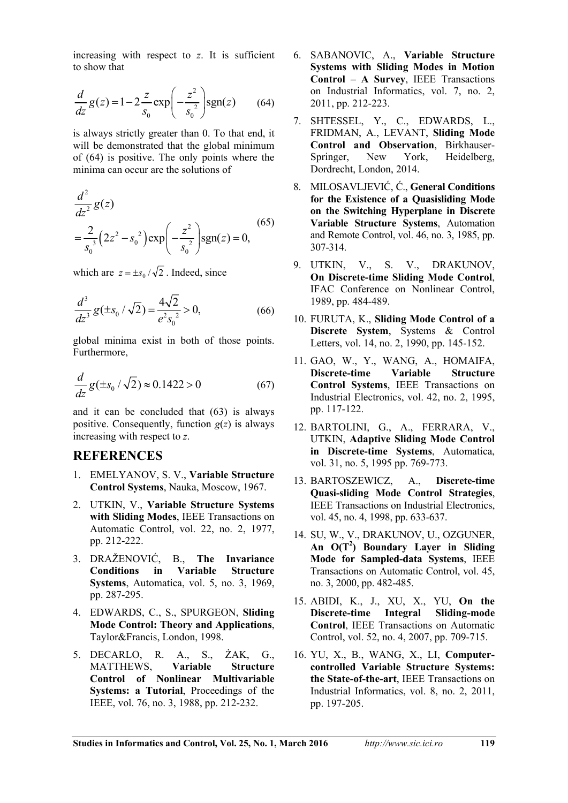increasing with respect to *z*. It is sufficient to show that

$$
\frac{d}{dz}g(z) = 1 - 2\frac{z}{s_0} \exp\left(-\frac{z^2}{s_0^2}\right) \text{sgn}(z) \tag{64}
$$

is always strictly greater than 0. To that end, it will be demonstrated that the global minimum of (64) is positive. The only points where the minima can occur are the solutions of

$$
\frac{d^2}{dz^2}g(z)
$$
  
= $\frac{2}{s_0^3}(2z^2-s_0^2) \exp\left(-\frac{z^2}{s_0^2}\right) \text{sgn}(z) = 0,$  (65)

which are  $z = \pm s_0 / \sqrt{2}$ . Indeed, since

$$
\frac{d^3}{dz^3}g(\pm s_0/\sqrt{2}) = \frac{4\sqrt{2}}{e^2 s_0^2} > 0,
$$
\n(66)

global minima exist in both of those points. Furthermore,

$$
\frac{d}{dz}g(\pm s_0/\sqrt{2}) \approx 0.1422 > 0\tag{67}
$$

and it can be concluded that (63) is always positive. Consequently, function  $g(z)$  is always increasing with respect to *z*.

## **REFERENCES**

- 1. EMELYANOV, S. V., **Variable Structure Control Systems**, Nauka, Moscow, 1967.
- 2. UTKIN, V., **Variable Structure Systems with Sliding Modes**, IEEE Transactions on Automatic Control, vol. 22, no. 2, 1977, pp. 212-222.
- 3. DRAŽENOVIĆ, B., **The Invariance Conditions in Variable Structure Systems**, Automatica, vol. 5, no. 3, 1969, pp. 287-295.
- 4. EDWARDS, C., S., SPURGEON, **Sliding Mode Control: Theory and Applications**, Taylor&Francis, London, 1998.
- 5. DECARLO, R. A., S., ĩAK, G., MATTHEWS, **Variable Structure Control of Nonlinear Multivariable Systems: a Tutorial**, Proceedings of the IEEE, vol. 76, no. 3, 1988, pp. 212-232.
- 6. SABANOVIC, A., **Variable Structure Systems with Sliding Modes in Motion Control – A Survey**, IEEE Transactions on Industrial Informatics, vol. 7, no. 2, 2011, pp. 212-223.
- 7. SHTESSEL, Y., C., EDWARDS, L., FRIDMAN, A., LEVANT, **Sliding Mode Control and Observation**, Birkhauser-Springer, New York, Heidelberg, Dordrecht, London, 2014.
- 8. MILOSAVLJEVIĆ, Ć., **General Conditions for the Existence of a Quasisliding Mode on the Switching Hyperplane in Discrete Variable Structure Systems**, Automation and Remote Control, vol. 46, no. 3, 1985, pp. 307-314.
- 9. UTKIN, V., S. V., DRAKUNOV, **On Discrete-time Sliding Mode Control**, IFAC Conference on Nonlinear Control, 1989, pp. 484-489.
- 10. FURUTA, K., **Sliding Mode Control of a Discrete System**, Systems & Control Letters, vol. 14, no. 2, 1990, pp. 145-152.
- 11. GAO, W., Y., WANG, A., HOMAIFA, **Discrete-time Variable Structure Control Systems**, IEEE Transactions on Industrial Electronics, vol. 42, no. 2, 1995, pp. 117-122.
- 12. BARTOLINI, G., A., FERRARA, V., UTKIN, **Adaptive Sliding Mode Control in Discrete-time Systems**, Automatica, vol. 31, no. 5, 1995 pp. 769-773.
- 13. BARTOSZEWICZ, A., **Discrete-time Quasi-sliding Mode Control Strategies**, IEEE Transactions on Industrial Electronics, vol. 45, no. 4, 1998, pp. 633-637.
- 14. SU, W., V., DRAKUNOV, U., OZGUNER, **An O(T<sup>2</sup> ) Boundary Layer in Sliding Mode for Sampled-data Systems**, IEEE Transactions on Automatic Control, vol. 45, no. 3, 2000, pp. 482-485.
- 15. ABIDI, K., J., XU, X., YU, **On the Discrete-time Integral Sliding-mode Control**, IEEE Transactions on Automatic Control, vol. 52, no. 4, 2007, pp. 709-715.
- 16. YU, X., B., WANG, X., LI, **Computercontrolled Variable Structure Systems: the State-of-the-art**, IEEE Transactions on Industrial Informatics, vol. 8, no. 2, 2011, pp. 197-205.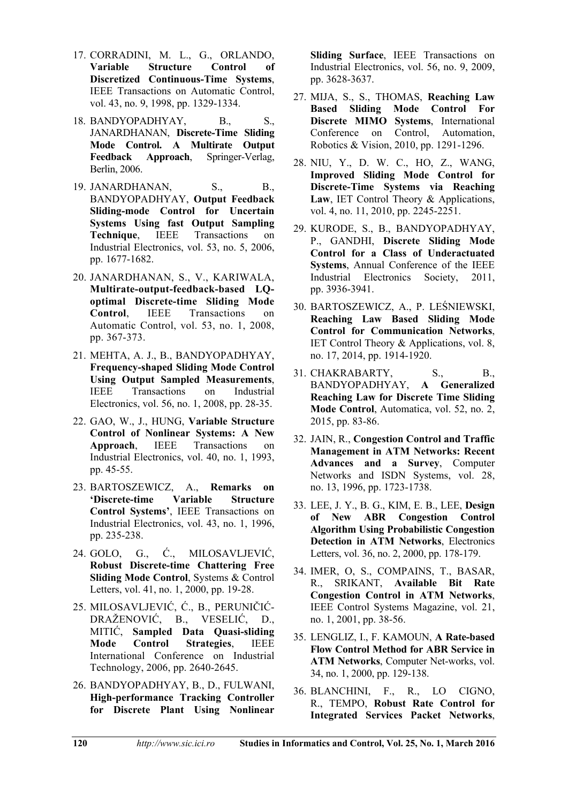- 17. CORRADINI, M. L., G., ORLANDO, **Variable Structure Control of Discretized Continuous-Time Systems**, IEEE Transactions on Automatic Control, vol. 43, no. 9, 1998, pp. 1329-1334.
- 18. BANDYOPADHYAY, B., S., JANARDHANAN, **Discrete-Time Sliding Mode Control. A Multirate Output Feedback Approach**, Springer-Verlag, Berlin, 2006.
- 19. JANARDHANAN, S., B., BANDYOPADHYAY, **Output Feedback Sliding-mode Control for Uncertain Systems Using fast Output Sampling Technique**, IEEE Transactions on Industrial Electronics, vol. 53, no. 5, 2006, pp. 1677-1682.
- 20. JANARDHANAN, S., V., KARIWALA, **Multirate-output-feedback-based LQoptimal Discrete-time Sliding Mode Control**, IEEE Transactions on Automatic Control, vol. 53, no. 1, 2008, pp. 367-373.
- 21. MEHTA, A. J., B., BANDYOPADHYAY, **Frequency-shaped Sliding Mode Control Using Output Sampled Measurements**, IEEE Transactions on Industrial Electronics, vol. 56, no. 1, 2008, pp. 28-35.
- 22. GAO, W., J., HUNG, **Variable Structure Control of Nonlinear Systems: A New Approach**, IEEE Transactions on Industrial Electronics, vol. 40, no. 1, 1993, pp. 45-55.
- 23. BARTOSZEWICZ, A., **Remarks on 'Discrete-time Variable Structure Control Systems'**, IEEE Transactions on Industrial Electronics, vol. 43, no. 1, 1996, pp. 235-238.
- 24. GOLO, G., Ć., MILOSAVLJEVIĆ, **Robust Discrete-time Chattering Free Sliding Mode Control**, Systems & Control Letters, vol. 41, no. 1, 2000, pp. 19-28.
- 25. MILOSAVLJEVIĆ, Ć., B., PERUNIČIĆ-DRAŽENOVIĆ, B., VESELIĆ, D., MITIĆ, **Sampled Data Quasi-sliding Mode Control Strategies**, IEEE International Conference on Industrial Technology, 2006, pp. 2640-2645.
- 26. BANDYOPADHYAY, B., D., FULWANI, **High-performance Tracking Controller for Discrete Plant Using Nonlinear**

**Sliding Surface**, IEEE Transactions on Industrial Electronics, vol. 56, no. 9, 2009, pp. 3628-3637.

- 27. MIJA, S., S., THOMAS, **Reaching Law Based Sliding Mode Control For Discrete MIMO Systems**, International Conference on Control, Automation, Robotics & Vision, 2010, pp. 1291-1296.
- 28. NIU, Y., D. W. C., HO, Z., WANG, **Improved Sliding Mode Control for Discrete-Time Systems via Reaching Law**, IET Control Theory & Applications, vol. 4, no. 11, 2010, pp. 2245-2251.
- 29. KURODE, S., B., BANDYOPADHYAY, P., GANDHI, **Discrete Sliding Mode Control for a Class of Underactuated Systems**, Annual Conference of the IEEE Industrial Electronics Society, 2011, pp. 3936-3941.
- 30. BARTOSZEWICZ, A., P. LEŚNIEWSKI, **Reaching Law Based Sliding Mode Control for Communication Networks**, IET Control Theory & Applications, vol. 8, no. 17, 2014, pp. 1914-1920.
- 31. CHAKRABARTY, S., B., BANDYOPADHYAY, **A Generalized Reaching Law for Discrete Time Sliding Mode Control**, Automatica, vol. 52, no. 2, 2015, pp. 83-86.
- 32. JAIN, R., **Congestion Control and Traffic Management in ATM Networks: Recent Advances and a Survey**, Computer Networks and ISDN Systems, vol. 28, no. 13, 1996, pp. 1723-1738.
- 33. LEE, J. Y., B. G., KIM, E. B., LEE, **Design of New ABR Congestion Control Algorithm Using Probabilistic Congestion Detection in ATM Networks**, Electronics Letters, vol. 36, no. 2, 2000, pp. 178-179.
- 34. IMER, O, S., COMPAINS, T., BASAR, R., SRIKANT, **Available Bit Rate Congestion Control in ATM Networks**, IEEE Control Systems Magazine, vol. 21, no. 1, 2001, pp. 38-56.
- 35. LENGLIZ, I., F. KAMOUN, **A Rate-based Flow Control Method for ABR Service in ATM Networks**, Computer Net-works, vol. 34, no. 1, 2000, pp. 129-138.
- 36. BLANCHINI, F., R., LO CIGNO, R., TEMPO, **Robust Rate Control for Integrated Services Packet Networks**,